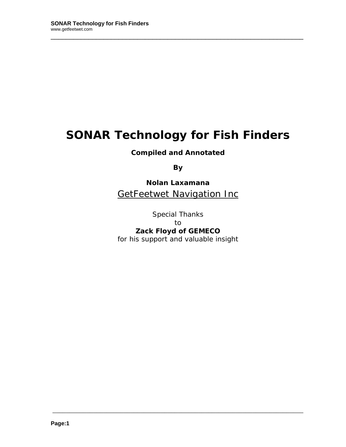# **SONAR Technology for Fish Finders**

\_\_\_\_\_\_\_\_\_\_\_\_\_\_\_\_\_\_\_\_\_\_\_\_\_\_\_\_\_\_\_\_\_\_\_\_\_\_\_\_\_\_\_\_\_\_\_\_\_\_\_\_\_\_\_\_\_\_\_\_\_\_\_\_\_\_\_

**Compiled and Annotated** 

**By** 

**Nolan Laxamana GetFeetwet Navigation Inc** 

Special Thanks to **Zack Floyd of GEMECO**  for his support and valuable insight

\_\_\_\_\_\_\_\_\_\_\_\_\_\_\_\_\_\_\_\_\_\_\_\_\_\_\_\_\_\_\_\_\_\_\_\_\_\_\_\_\_\_\_\_\_\_\_\_\_\_\_\_\_\_\_\_\_\_\_\_\_\_\_\_\_\_\_\_\_\_\_\_\_\_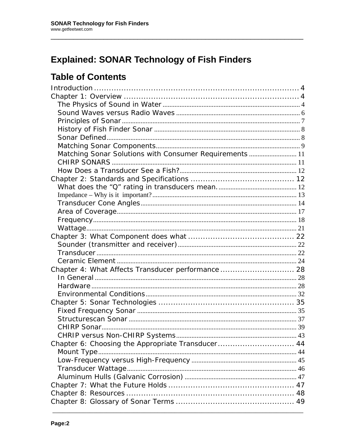## **Explained: SONAR Technology of Fish Finders**

### **Table of Contents**

| Matching Sonar Solutions with Consumer Requirements  11 |  |
|---------------------------------------------------------|--|
|                                                         |  |
|                                                         |  |
|                                                         |  |
|                                                         |  |
|                                                         |  |
|                                                         |  |
|                                                         |  |
|                                                         |  |
|                                                         |  |
|                                                         |  |
|                                                         |  |
|                                                         |  |
|                                                         |  |
| Chapter 4: What Affects Transducer performance 28       |  |
|                                                         |  |
|                                                         |  |
|                                                         |  |
|                                                         |  |
|                                                         |  |
|                                                         |  |
|                                                         |  |
|                                                         |  |
| Chapter 6: Choosing the Appropriate Transducer 44       |  |
|                                                         |  |
|                                                         |  |
|                                                         |  |
|                                                         |  |
|                                                         |  |
|                                                         |  |
|                                                         |  |